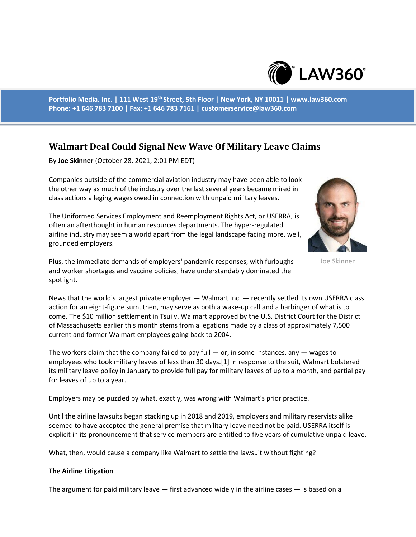

**Portfolio Media. Inc. | 111 West 19th Street, 5th Floor | New York, NY 10011 | www.law360.com Phone: +1 646 783 7100 | Fax: +1 646 783 7161 | customerservice@law360.com**

# **Walmart Deal Could Signal New Wave Of Military Leave Claims**

By **Joe Skinner** (October 28, 2021, 2:01 PM EDT)

Companies outside of the commercial aviation industry may have been able to look the other way as much of the industry over the last several years became mired in class actions alleging wages owed in connection with unpaid military leaves.

The Uniformed Services Employment and Reemployment Rights Act, or USERRA, is often an afterthought in human resources departments. The hyper-regulated airline industry may seem a world apart from the legal landscape facing more, well, grounded employers.

Plus, the immediate demands of employers' pandemic responses, with furloughs and worker shortages and vaccine policies, have understandably dominated the spotlight.



Joe Skinner

News that the world's largest private employer — Walmart Inc. — recently settled its own USERRA class action for an eight-figure sum, then, may serve as both a wake-up call and a harbinger of what is to come. The \$10 million settlement in Tsui v. Walmart approved by the U.S. District Court for the District of Massachusetts earlier this month stems from allegations made by a class of approximately 7,500 current and former Walmart employees going back to 2004.

The workers claim that the company failed to pay full  $-$  or, in some instances, any  $-$  wages to employees who took military leaves of less than 30 days.[1] In response to the suit, Walmart bolstered its military leave policy in January to provide full pay for military leaves of up to a month, and partial pay for leaves of up to a year.

Employers may be puzzled by what, exactly, was wrong with Walmart's prior practice.

Until the airline lawsuits began stacking up in 2018 and 2019, employers and military reservists alike seemed to have accepted the general premise that military leave need not be paid. USERRA itself is explicit in its pronouncement that service members are entitled to five years of cumulative unpaid leave.

What, then, would cause a company like Walmart to settle the lawsuit without fighting?

#### **The Airline Litigation**

The argument for paid military leave  $-$  first advanced widely in the airline cases  $-$  is based on a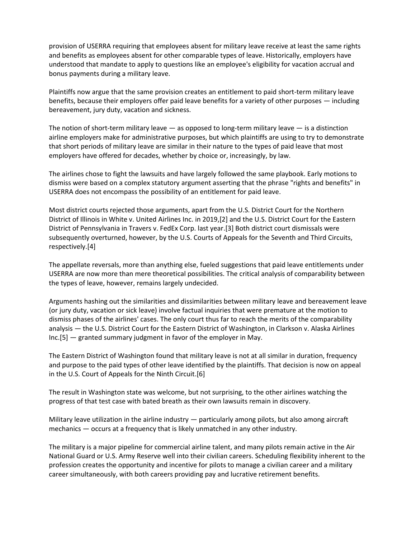provision of USERRA requiring that employees absent for military leave receive at least the same rights and benefits as employees absent for other comparable types of leave. Historically, employers have understood that mandate to apply to questions like an employee's eligibility for vacation accrual and bonus payments during a military leave.

Plaintiffs now argue that the same provision creates an entitlement to paid short-term military leave benefits, because their employers offer paid leave benefits for a variety of other purposes — including bereavement, jury duty, vacation and sickness.

The notion of short-term military leave  $-$  as opposed to long-term military leave  $-$  is a distinction airline employers make for administrative purposes, but which plaintiffs are using to try to demonstrate that short periods of military leave are similar in their nature to the types of paid leave that most employers have offered for decades, whether by choice or, increasingly, by law.

The airlines chose to fight the lawsuits and have largely followed the same playbook. Early motions to dismiss were based on a complex statutory argument asserting that the phrase "rights and benefits" in USERRA does not encompass the possibility of an entitlement for paid leave.

Most district courts rejected those arguments, apart from the U.S. District Court for the Northern District of Illinois in White v. United Airlines Inc. in 2019,[2] and the U.S. District Court for the Eastern District of Pennsylvania in Travers v. FedEx Corp. last year.[3] Both district court dismissals were subsequently overturned, however, by the U.S. Courts of Appeals for the Seventh and Third Circuits, respectively.[4]

The appellate reversals, more than anything else, fueled suggestions that paid leave entitlements under USERRA are now more than mere theoretical possibilities. The critical analysis of comparability between the types of leave, however, remains largely undecided.

Arguments hashing out the similarities and dissimilarities between military leave and bereavement leave (or jury duty, vacation or sick leave) involve factual inquiries that were premature at the motion to dismiss phases of the airlines' cases. The only court thus far to reach the merits of the comparability analysis — the U.S. District Court for the Eastern District of Washington, in Clarkson v. Alaska Airlines Inc.[5] — granted summary judgment in favor of the employer in May.

The Eastern District of Washington found that military leave is not at all similar in duration, frequency and purpose to the paid types of other leave identified by the plaintiffs. That decision is now on appeal in the U.S. Court of Appeals for the Ninth Circuit.[6]

The result in Washington state was welcome, but not surprising, to the other airlines watching the progress of that test case with bated breath as their own lawsuits remain in discovery.

Military leave utilization in the airline industry  $-$  particularly among pilots, but also among aircraft mechanics — occurs at a frequency that is likely unmatched in any other industry.

The military is a major pipeline for commercial airline talent, and many pilots remain active in the Air National Guard or U.S. Army Reserve well into their civilian careers. Scheduling flexibility inherent to the profession creates the opportunity and incentive for pilots to manage a civilian career and a military career simultaneously, with both careers providing pay and lucrative retirement benefits.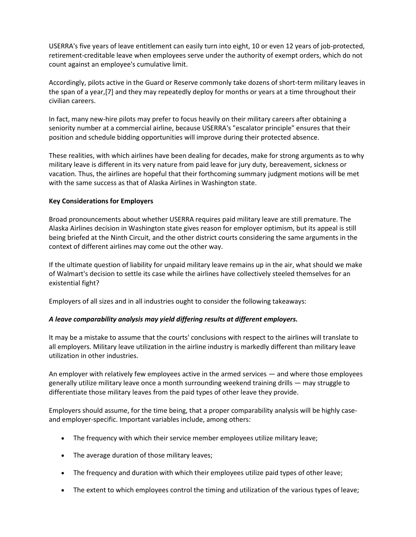USERRA's five years of leave entitlement can easily turn into eight, 10 or even 12 years of job-protected, retirement-creditable leave when employees serve under the authority of exempt orders, which do not count against an employee's cumulative limit.

Accordingly, pilots active in the Guard or Reserve commonly take dozens of short-term military leaves in the span of a year,[7] and they may repeatedly deploy for months or years at a time throughout their civilian careers.

In fact, many new-hire pilots may prefer to focus heavily on their military careers after obtaining a seniority number at a commercial airline, because USERRA's "escalator principle" ensures that their position and schedule bidding opportunities will improve during their protected absence.

These realities, with which airlines have been dealing for decades, make for strong arguments as to why military leave is different in its very nature from paid leave for jury duty, bereavement, sickness or vacation. Thus, the airlines are hopeful that their forthcoming summary judgment motions will be met with the same success as that of Alaska Airlines in Washington state.

### **Key Considerations for Employers**

Broad pronouncements about whether USERRA requires paid military leave are still premature. The Alaska Airlines decision in Washington state gives reason for employer optimism, but its appeal is still being briefed at the Ninth Circuit, and the other district courts considering the same arguments in the context of different airlines may come out the other way.

If the ultimate question of liability for unpaid military leave remains up in the air, what should we make of Walmart's decision to settle its case while the airlines have collectively steeled themselves for an existential fight?

Employers of all sizes and in all industries ought to consider the following takeaways:

## *A leave comparability analysis may yield differing results at different employers.*

It may be a mistake to assume that the courts' conclusions with respect to the airlines will translate to all employers. Military leave utilization in the airline industry is markedly different than military leave utilization in other industries.

An employer with relatively few employees active in the armed services — and where those employees generally utilize military leave once a month surrounding weekend training drills — may struggle to differentiate those military leaves from the paid types of other leave they provide.

Employers should assume, for the time being, that a proper comparability analysis will be highly caseand employer-specific. Important variables include, among others:

- The frequency with which their service member employees utilize military leave;
- The average duration of those military leaves;
- The frequency and duration with which their employees utilize paid types of other leave;
- The extent to which employees control the timing and utilization of the various types of leave;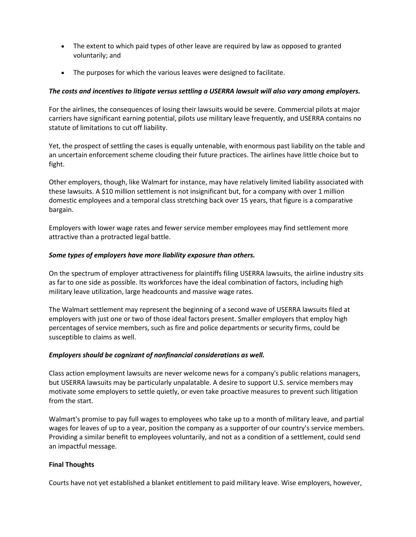- The extent to which paid types of other leave are required by law as opposed to granted voluntarily; and
- The purposes for which the various leaves were designed to facilitate.

## *The costs and incentives to litigate versus settling a USERRA lawsuit will also vary among employers.*

For the airlines, the consequences of losing their lawsuits would be severe. Commercial pilots at major carriers have significant earning potential, pilots use military leave frequently, and USERRA contains no statute of limitations to cut off liability.

Yet, the prospect of settling the cases is equally untenable, with enormous past liability on the table and an uncertain enforcement scheme clouding their future practices. The airlines have little choice but to fight.

Other employers, though, like Walmart for instance, may have relatively limited liability associated with these lawsuits. A \$10 million settlement is not insignificant but, for a company with over 1 million domestic employees and a temporal class stretching back over 15 years, that figure is a comparative bargain.

Employers with lower wage rates and fewer service member employees may find settlement more attractive than a protracted legal battle.

#### *Some types of employers have more liability exposure than others.*

On the spectrum of employer attractiveness for plaintiffs filing USERRA lawsuits, the airline industry sits as far to one side as possible. Its workforces have the ideal combination of factors, including high military leave utilization, large headcounts and massive wage rates.

The Walmart settlement may represent the beginning of a second wave of USERRA lawsuits filed at employers with just one or two of those ideal factors present. Smaller employers that employ high percentages of service members, such as fire and police departments or security firms, could be susceptible to claims as well.

### *Employers should be cognizant of nonfinancial considerations as well.*

Class action employment lawsuits are never welcome news for a company's public relations managers, but USERRA lawsuits may be particularly unpalatable. A desire to support U.S. service members may motivate some employers to settle quietly, or even take proactive measures to prevent such litigation from the start.

Walmart's promise to pay full wages to employees who take up to a month of military leave, and partial wages for leaves of up to a year, position the company as a supporter of our country's service members. Providing a similar benefit to employees voluntarily, and not as a condition of a settlement, could send an impactful message.

### **Final Thoughts**

Courts have not yet established a blanket entitlement to paid military leave. Wise employers, however,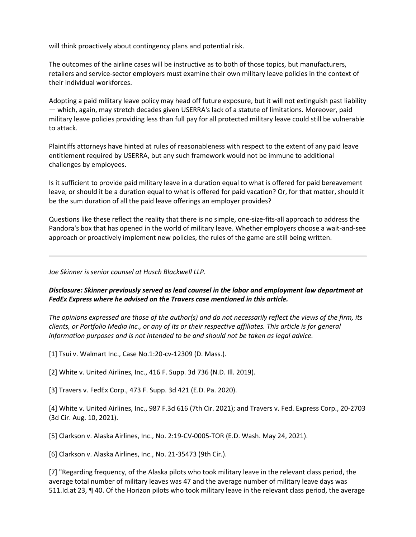will think proactively about contingency plans and potential risk.

The outcomes of the airline cases will be instructive as to both of those topics, but manufacturers, retailers and service-sector employers must examine their own military leave policies in the context of their individual workforces.

Adopting a paid military leave policy may head off future exposure, but it will not extinguish past liability — which, again, may stretch decades given USERRA's lack of a statute of limitations. Moreover, paid military leave policies providing less than full pay for all protected military leave could still be vulnerable to attack.

Plaintiffs attorneys have hinted at rules of reasonableness with respect to the extent of any paid leave entitlement required by USERRA, but any such framework would not be immune to additional challenges by employees.

Is it sufficient to provide paid military leave in a duration equal to what is offered for paid bereavement leave, or should it be a duration equal to what is offered for paid vacation? Or, for that matter, should it be the sum duration of all the paid leave offerings an employer provides?

Questions like these reflect the reality that there is no simple, one-size-fits-all approach to address the Pandora's box that has opened in the world of military leave. Whether employers choose a wait-and-see approach or proactively implement new policies, the rules of the game are still being written.

*Joe Skinner is senior counsel at Husch Blackwell LLP.*

*Disclosure: Skinner previously served as lead counsel in the labor and employment law department at FedEx Express where he advised on the Travers case mentioned in this article.*

*The opinions expressed are those of the author(s) and do not necessarily reflect the views of the firm, its clients, or Portfolio Media Inc., or any of its or their respective affiliates. This article is for general information purposes and is not intended to be and should not be taken as legal advice.*

[1] Tsui v. Walmart Inc., Case No.1:20-cv-12309 (D. Mass.).

[2] White v. United Airlines, Inc., 416 F. Supp. 3d 736 (N.D. Ill. 2019).

[3] Travers v. FedEx Corp., 473 F. Supp. 3d 421 (E.D. Pa. 2020).

[4] White v. United Airlines, Inc., 987 F.3d 616 (7th Cir. 2021); and Travers v. Fed. Express Corp., 20-2703 (3d Cir. Aug. 10, 2021).

[5] Clarkson v. Alaska Airlines, Inc., No. 2:19-CV-0005-TOR (E.D. Wash. May 24, 2021).

[6] Clarkson v. Alaska Airlines, Inc., No. 21-35473 (9th Cir.).

[7] "Regarding frequency, of the Alaska pilots who took military leave in the relevant class period, the average total number of military leaves was 47 and the average number of military leave days was 511.Id.at 23, ¶ 40. Of the Horizon pilots who took military leave in the relevant class period, the average